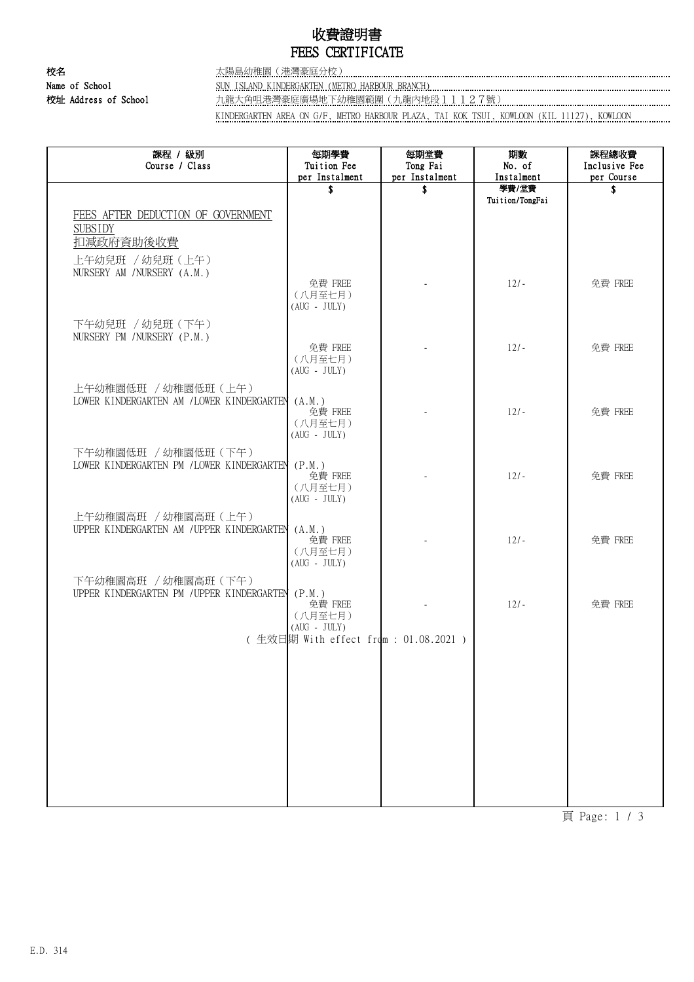# 收費證明書 FEES CERTIFICATE

校名 太陽島幼稚園(港灣豪庭分校) Name of School SUN ISLAND KINDERGARTEN (METRO HARBOUR BRANCH) 校址 Address of School カ龍大角咀港灣豪庭廣場地下幼稚園範圍(九龍內地段11127號)

KINDERGARTEN AREA ON G/F, METRO HARBOUR PLAZA, TAI KOK TSUI, KOWLOON (KIL 11127), KOWLOON

| 課程 / 級別<br>Course / Class                                          | 每期學費<br>Tuition Fee<br>per Instalment          | 每期堂費<br>Tong Fai<br>per Instalment | 期數<br>No. of<br>Instalment | 課程總收費<br>Inclusive Fee<br>per Course |
|--------------------------------------------------------------------|------------------------------------------------|------------------------------------|----------------------------|--------------------------------------|
|                                                                    | \$                                             | \$                                 | 學費/堂費                      | \$                                   |
| FEES AFTER DEDUCTION OF GOVERNMENT<br><b>SUBSIDY</b>               |                                                |                                    | Tuition/TongFai            |                                      |
| 扣減政府資助後收費<br>上午幼兒班 / 幼兒班 (上午)                                      |                                                |                                    |                            |                                      |
| NURSERY AM /NURSERY (A.M.)                                         | 免費 FREE<br>(八月至七月)<br>$(AUG - JULY)$           |                                    | $12/-$                     | 免費 FREE                              |
| 下午幼兒班 / 幼兒班 (下午)<br>NURSERY PM / NURSERY (P.M.)                    |                                                |                                    |                            |                                      |
|                                                                    | 免費 FREE<br>(八月至七月)<br>$(AUG - JULY)$           |                                    | $12/-$                     | 免費 FREE                              |
| 上午幼稚園低班 / 幼稚園低班 (上午)<br>LOWER KINDERGARTEN AM / LOWER KINDERGARTEN | (A.M.)<br>免費 FREE<br>(八月至七月)<br>$(AUG - JULY)$ |                                    | $12/-$                     | 免費 FREE                              |
| 下午幼稚園低班 / 幼稚園低班 (下午)<br>LOWER KINDERGARTEN PM / LOWER KINDERGARTEN | (P.M.)<br>免費 FREE<br>(八月至七月)<br>$(AUG - JULY)$ |                                    | $12/-$                     | 免費 FREE                              |
| 上午幼稚園高班 / 幼稚園高班 (上午)<br>UPPER KINDERGARTEN AM / UPPER KINDERGARTEN | (A.M.)<br>免費 FREE<br>(八月至七月)<br>$(AUG - JULY)$ |                                    | $12/-$                     | 免費 FREE                              |
| 下午幼稚園高班 / 幼稚園高班 (下午)<br>UPPER KINDERGARTEN PM / UPPER KINDERGARTEN | (P.M.)<br>免費 FREE<br>(八月至七月)<br>$(AUG - JULY)$ |                                    | $12/-$                     | 免費 FREE                              |
|                                                                    | (生效日期 With effect from : 01.08.2021 )          |                                    |                            |                                      |
|                                                                    |                                                |                                    |                            |                                      |
|                                                                    |                                                |                                    |                            |                                      |
|                                                                    |                                                |                                    |                            |                                      |
|                                                                    |                                                |                                    |                            |                                      |
|                                                                    |                                                |                                    |                            |                                      |

頁 Page: 1 / 3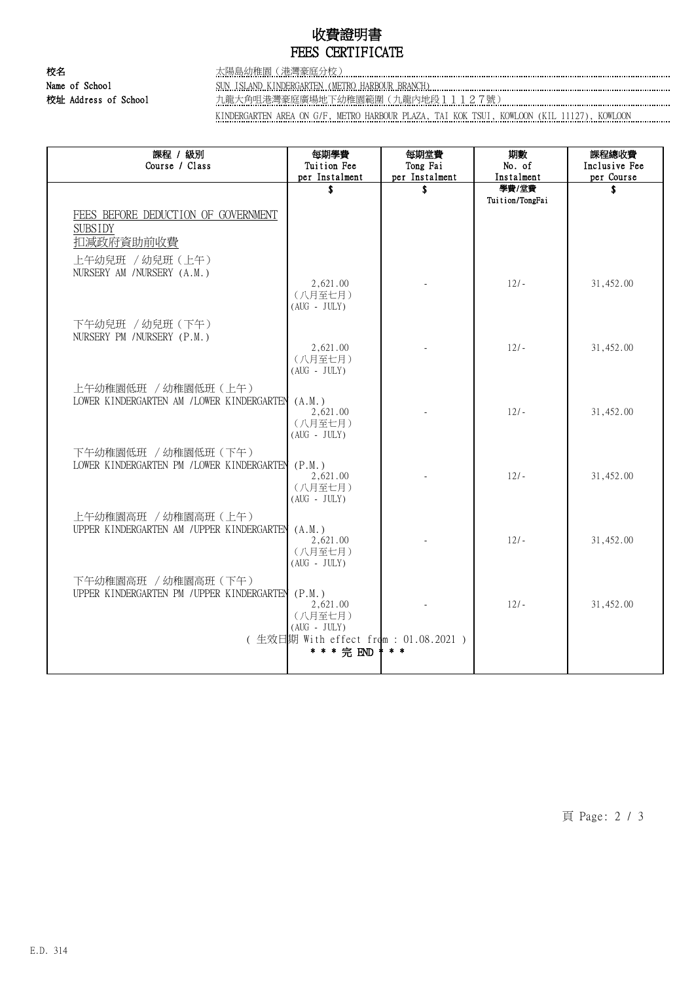# 收費證明書 FEES CERTIFICATE

校名 太陽島幼稚園(港灣豪庭分校) Name of School SUN ISLAND KINDERGARTEN (METRO HARBOUR BRANCH) 校址 Address of School <u>九龍大角咀港灣豪庭廣場地下幼稚園範圍(九龍內地段11127號)</u>

KINDERGARTEN AREA ON G/F, METRO HARBOUR PLAZA, TAI KOK TSUI, KOWLOON (KIL 11127), KOWLOON

| 課程 / 級別<br>Course / Class                       | 每期學費<br>Tuition Fee                                  | 每期堂費<br>Tong Fai | 期數<br>No. of        | 課程總收費<br>Inclusive Fee |
|-------------------------------------------------|------------------------------------------------------|------------------|---------------------|------------------------|
|                                                 | per Instalment                                       | per Instalment   | Instalment<br>學費/堂費 | per Course             |
|                                                 | \$                                                   | \$               | Tuition/TongFai     | \$                     |
| FEES BEFORE DEDUCTION OF GOVERNMENT             |                                                      |                  |                     |                        |
| <b>SUBSIDY</b>                                  |                                                      |                  |                     |                        |
| 扣减政府資助前收費                                       |                                                      |                  |                     |                        |
| 上午幼兒班 / 幼兒班 (上午)<br>NURSERY AM / NURSERY (A.M.) |                                                      |                  |                     |                        |
|                                                 | 2,621.00<br>(八月至七月)                                  |                  | $12/-$              | 31,452.00              |
|                                                 | $(AUG - JULY)$                                       |                  |                     |                        |
| 下午幼兒班 / 幼兒班 (下午)<br>NURSERY PM / NURSERY (P.M.) |                                                      |                  |                     |                        |
|                                                 | 2,621.00<br>(八月至七月)                                  |                  | $12/-$              | 31,452.00              |
|                                                 | $(AUG - JULY)$                                       |                  |                     |                        |
| 上午幼稚園低班 / 幼稚園低班 (上午)                            |                                                      |                  |                     |                        |
| LOWER KINDERGARTEN AM / LOWER KINDERGARTEN      | (A.M.)                                               |                  |                     |                        |
|                                                 | 2,621.00<br>(八月至七月)                                  |                  | $12/-$              | 31,452.00              |
|                                                 | $(AUG - JULY)$                                       |                  |                     |                        |
| 下午幼稚園低班 / 幼稚園低班 (下午)                            |                                                      |                  |                     |                        |
| LOWER KINDERGARTEN PM /LOWER KINDERGARTEN       | (P.M.)<br>2,621.00                                   |                  | $12.1 -$            | 31,452.00              |
|                                                 | (八月至七月)                                              |                  |                     |                        |
|                                                 | $(AUG - JULY)$                                       |                  |                     |                        |
| 上午幼稚園高班 / 幼稚園高班 (上午)                            |                                                      |                  |                     |                        |
| UPPER KINDERGARTEN AM / UPPER KINDERGARTEN      | (A.M.)<br>2,621.00                                   |                  | $12/-$              | 31,452.00              |
|                                                 | (八月至七月)                                              |                  |                     |                        |
|                                                 | $(AUG - JULY)$                                       |                  |                     |                        |
| 下午幼稚園高班 / 幼稚園高班 (下午)                            |                                                      |                  |                     |                        |
| UPPER KINDERGARTEN PM / UPPER KINDERGARTEN      | (P.M.)<br>2,621.00                                   |                  | $12/-$              | 31,452.00              |
|                                                 | (八月至七月)                                              |                  |                     |                        |
|                                                 | $(AUG - JULY)$                                       |                  |                     |                        |
|                                                 | (生效日期 With effect from : 01.08.2021 )<br>* * * 完 END | $* *$            |                     |                        |
|                                                 |                                                      |                  |                     |                        |

頁 Page: 2 / 3